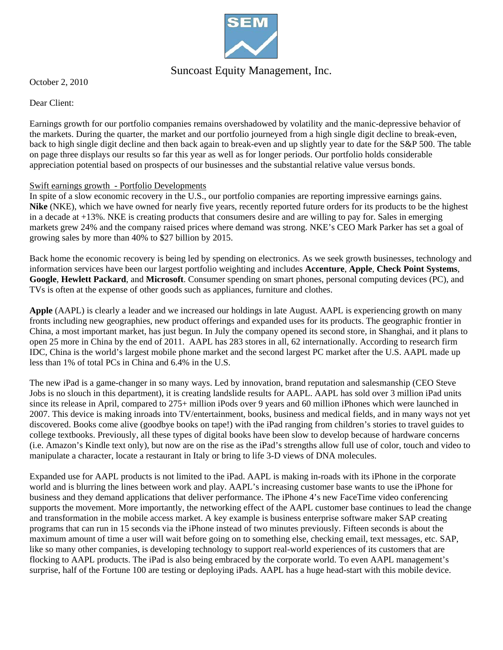

## Suncoast Equity Management, Inc.

October 2, 2010

Dear Client:

Earnings growth for our portfolio companies remains overshadowed by volatility and the manic-depressive behavior of the markets. During the quarter, the market and our portfolio journeyed from a high single digit decline to break-even, back to high single digit decline and then back again to break-even and up slightly year to date for the S&P 500. The table on page three displays our results so far this year as well as for longer periods. Our portfolio holds considerable appreciation potential based on prospects of our businesses and the substantial relative value versus bonds.

## Swift earnings growth - Portfolio Developments

In spite of a slow economic recovery in the U.S., our portfolio companies are reporting impressive earnings gains. **Nike** (NKE), which we have owned for nearly five years, recently reported future orders for its products to be the highest in a decade at +13%. NKE is creating products that consumers desire and are willing to pay for. Sales in emerging markets grew 24% and the company raised prices where demand was strong. NKE's CEO Mark Parker has set a goal of growing sales by more than 40% to \$27 billion by 2015.

Back home the economic recovery is being led by spending on electronics. As we seek growth businesses, technology and information services have been our largest portfolio weighting and includes **Accenture**, **Apple**, **Check Point Systems**, **Google**, **Hewlett Packard**, and **Microsoft**. Consumer spending on smart phones, personal computing devices (PC), and TVs is often at the expense of other goods such as appliances, furniture and clothes.

**Apple** (AAPL) is clearly a leader and we increased our holdings in late August. AAPL is experiencing growth on many fronts including new geographies, new product offerings and expanded uses for its products. The geographic frontier in China, a most important market, has just begun. In July the company opened its second store, in Shanghai, and it plans to open 25 more in China by the end of 2011. AAPL has 283 stores in all, 62 internationally. According to research firm IDC, China is the world's largest mobile phone market and the second largest PC market after the U.S. AAPL made up less than 1% of total PCs in China and 6.4% in the U.S.

The new iPad is a game-changer in so many ways. Led by innovation, brand reputation and salesmanship (CEO Steve Jobs is no slouch in this department), it is creating landslide results for AAPL. AAPL has sold over 3 million iPad units since its release in April, compared to 275+ million iPods over 9 years and 60 million iPhones which were launched in 2007. This device is making inroads into TV/entertainment, books, business and medical fields, and in many ways not yet discovered. Books come alive (goodbye books on tape!) with the iPad ranging from children's stories to travel guides to college textbooks. Previously, all these types of digital books have been slow to develop because of hardware concerns (i.e. Amazon's Kindle text only), but now are on the rise as the iPad's strengths allow full use of color, touch and video to manipulate a character, locate a restaurant in Italy or bring to life 3-D views of DNA molecules.

Expanded use for AAPL products is not limited to the iPad. AAPL is making in-roads with its iPhone in the corporate world and is blurring the lines between work and play. AAPL's increasing customer base wants to use the iPhone for business and they demand applications that deliver performance. The iPhone 4's new FaceTime video conferencing supports the movement. More importantly, the networking effect of the AAPL customer base continues to lead the change and transformation in the mobile access market. A key example is business enterprise software maker SAP creating programs that can run in 15 seconds via the iPhone instead of two minutes previously. Fifteen seconds is about the maximum amount of time a user will wait before going on to something else, checking email, text messages, etc. SAP, like so many other companies, is developing technology to support real-world experiences of its customers that are flocking to AAPL products. The iPad is also being embraced by the corporate world. To even AAPL management's surprise, half of the Fortune 100 are testing or deploying iPads. AAPL has a huge head-start with this mobile device.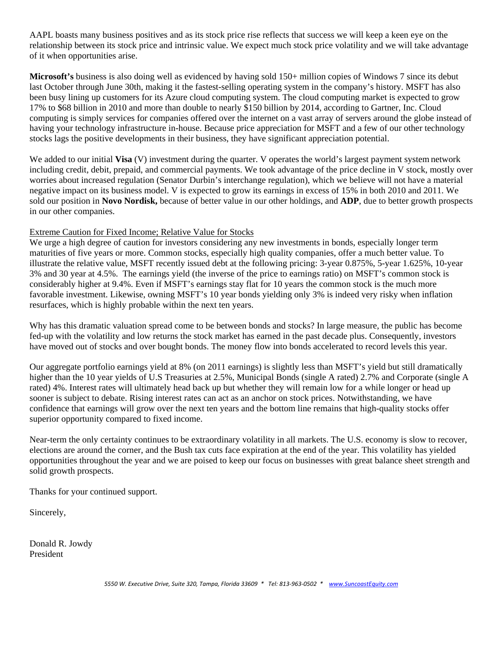AAPL boasts many business positives and as its stock price rise reflects that success we will keep a keen eye on the relationship between its stock price and intrinsic value. We expect much stock price volatility and we will take advantage of it when opportunities arise.

**Microsoft's** business is also doing well as evidenced by having sold 150+ million copies of Windows 7 since its debut last October through June 30th, making it the fastest-selling operating system in the company's history. MSFT has also been busy lining up customers for its Azure cloud computing system. The cloud computing market is expected to grow 17% to \$68 billion in 2010 and more than double to nearly \$150 billion by 2014, according to Gartner, Inc. Cloud computing is simply services for companies offered over the internet on a vast array of servers around the globe instead of having your technology infrastructure in-house. Because price appreciation for MSFT and a few of our other technology stocks lags the positive developments in their business, they have significant appreciation potential.

We added to our initial **Visa** (V) investment during the quarter. V operates the world's largest payment system network including credit, debit, prepaid, and commercial payments. We took advantage of the price decline in V stock, mostly over worries about increased regulation (Senator Durbin's interchange regulation), which we believe will not have a material negative impact on its business model. V is expected to grow its earnings in excess of 15% in both 2010 and 2011. We sold our position in **Novo Nordisk,** because of better value in our other holdings, and **ADP**, due to better growth prospects in our other companies.

## Extreme Caution for Fixed Income; Relative Value for Stocks

We urge a high degree of caution for investors considering any new investments in bonds, especially longer term maturities of five years or more. Common stocks, especially high quality companies, offer a much better value. To illustrate the relative value, MSFT recently issued debt at the following pricing: 3-year 0.875%, 5-year 1.625%, 10-year 3% and 30 year at 4.5%. The earnings yield (the inverse of the price to earnings ratio) on MSFT's common stock is considerably higher at 9.4%. Even if MSFT's earnings stay flat for 10 years the common stock is the much more favorable investment. Likewise, owning MSFT's 10 year bonds yielding only 3% is indeed very risky when inflation resurfaces, which is highly probable within the next ten years.

Why has this dramatic valuation spread come to be between bonds and stocks? In large measure, the public has become fed-up with the volatility and low returns the stock market has earned in the past decade plus. Consequently, investors have moved out of stocks and over bought bonds. The money flow into bonds accelerated to record levels this year.

Our aggregate portfolio earnings yield at 8% (on 2011 earnings) is slightly less than MSFT's yield but still dramatically higher than the 10 year yields of U.S Treasuries at 2.5%, Municipal Bonds (single A rated) 2.7% and Corporate (single A rated) 4%. Interest rates will ultimately head back up but whether they will remain low for a while longer or head up sooner is subject to debate. Rising interest rates can act as an anchor on stock prices. Notwithstanding, we have confidence that earnings will grow over the next ten years and the bottom line remains that high-quality stocks offer superior opportunity compared to fixed income.

Near-term the only certainty continues to be extraordinary volatility in all markets. The U.S. economy is slow to recover, elections are around the corner, and the Bush tax cuts face expiration at the end of the year. This volatility has yielded opportunities throughout the year and we are poised to keep our focus on businesses with great balance sheet strength and solid growth prospects.

Thanks for your continued support.

Sincerely,

Donald R. Jowdy President